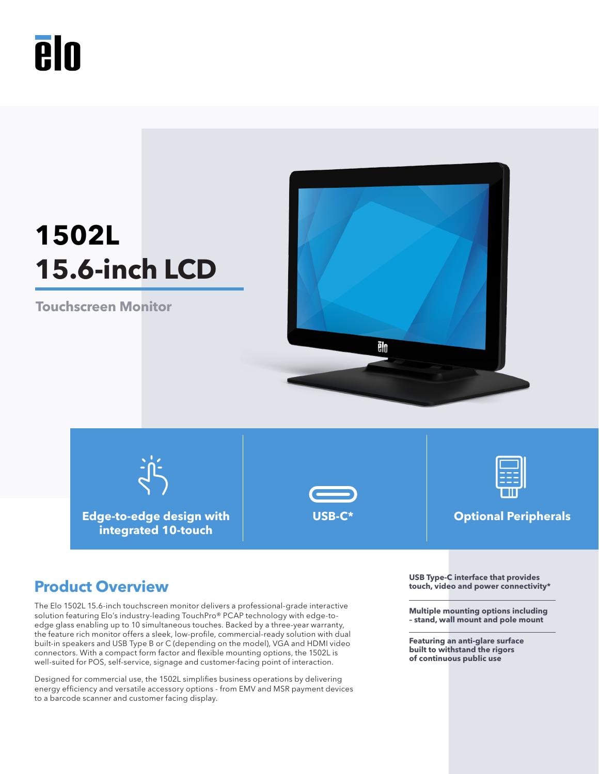

# **1502L 15.6-inch LCD**

**Touchscreen Monitor**



**Edge-to-edge design with** 

**integrated 10-touch**



**USB-C\* Optional Peripherals**

The Elo 1502L 15.6-inch touchscreen monitor delivers a professional-grade interactive solution featuring Elo's industry-leading TouchPro® PCAP technology with edge-toedge glass enabling up to 10 simultaneous touches. Backed by a three-year warranty, the feature rich monitor offers a sleek, low-profile, commercial-ready solution with dual built-in speakers and USB Type B or C (depending on the model), VGA and HDMI video connectors. With a compact form factor and flexible mounting options, the 1502L is well-suited for POS, self-service, signage and customer-facing point of interaction.

Designed for commercial use, the 1502L simplifies business operations by delivering energy efficiency and versatile accessory options - from EMV and MSR payment devices to a barcode scanner and customer facing display.

**Product Overview Product Overview USB Type-C** interface that provides **Product Overview touch, video and power connectivity\***

> **Multiple mounting options including – stand, wall mount and pole mount**

**Featuring an anti-glare surface built to withstand the rigors of continuous public use**